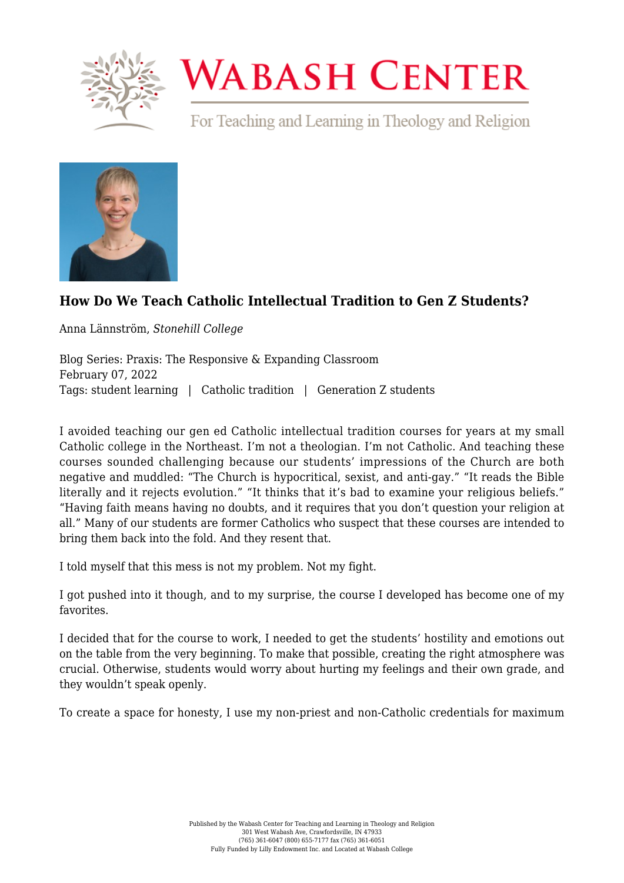

## **WABASH CENTER**

For Teaching and Learning in Theology and Religion



## **[How Do We Teach Catholic Intellectual Tradition to Gen Z Students?](https://www.wabashcenter.wabash.edu/2022/02/how-do-we-teach-catholic-intellectual-tradition-to-gen-z-students/)**

Anna Lännström, *Stonehill College*

Blog Series: Praxis: The Responsive & Expanding Classroom February 07, 2022 Tags: student learning | Catholic tradition | Generation Z students

I avoided teaching our gen ed Catholic intellectual tradition courses for years at my small Catholic college in the Northeast. I'm not a theologian. I'm not Catholic. And teaching these courses sounded challenging because our students' impressions of the Church are both negative and muddled: "The Church is hypocritical, sexist, and anti-gay." "It reads the Bible literally and it rejects evolution." "It thinks that it's bad to examine your religious beliefs." "Having faith means having no doubts, and it requires that you don't question your religion at all." Many of our students are former Catholics who suspect that these courses are intended to bring them back into the fold. And they resent that.

I told myself that this mess is not my problem. Not my fight.

I got pushed into it though, and to my surprise, the course I developed has become one of my favorites.

I decided that for the course to work, I needed to get the students' hostility and emotions out on the table from the very beginning. To make that possible, creating the right atmosphere was crucial. Otherwise, students would worry about hurting my feelings and their own grade, and they wouldn't speak openly.

To create a space for honesty, I use my non-priest and non-Catholic credentials for maximum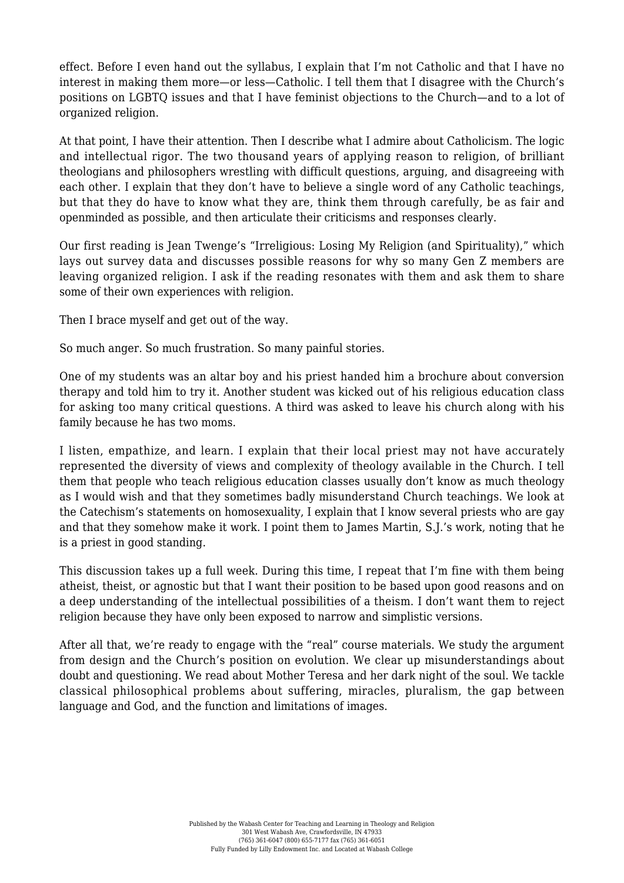effect. Before I even hand out the syllabus, I explain that I'm not Catholic and that I have no interest in making them more—or less—Catholic. I tell them that I disagree with the Church's positions on LGBTQ issues and that I have feminist objections to the Church—and to a lot of organized religion.

At that point, I have their attention. Then I describe what I admire about Catholicism. The logic and intellectual rigor. The two thousand years of applying reason to religion, of brilliant theologians and philosophers wrestling with difficult questions, arguing, and disagreeing with each other. I explain that they don't have to believe a single word of any Catholic teachings, but that they do have to know what they are, think them through carefully, be as fair and openminded as possible, and then articulate their criticisms and responses clearly.

Our first reading is Jean Twenge's "Irreligious: Losing My Religion (and Spirituality)," which lays out survey data and discusses possible reasons for why so many Gen Z members are leaving organized religion. I ask if the reading resonates with them and ask them to share some of their own experiences with religion.

Then I brace myself and get out of the way.

So much anger. So much frustration. So many painful stories.

One of my students was an altar boy and his priest handed him a brochure about conversion therapy and told him to try it. Another student was kicked out of his religious education class for asking too many critical questions. A third was asked to leave his church along with his family because he has two moms.

I listen, empathize, and learn. I explain that their local priest may not have accurately represented the diversity of views and complexity of theology available in the Church. I tell them that people who teach religious education classes usually don't know as much theology as I would wish and that they sometimes badly misunderstand Church teachings. We look at the Catechism's statements on homosexuality, I explain that I know several priests who are gay and that they somehow make it work. I point them to James Martin, S.J.'s work, noting that he is a priest in good standing.

This discussion takes up a full week. During this time, I repeat that I'm fine with them being atheist, theist, or agnostic but that I want their position to be based upon good reasons and on a deep understanding of the intellectual possibilities of a theism. I don't want them to reject religion because they have only been exposed to narrow and simplistic versions.

After all that, we're ready to engage with the "real" course materials. We study the argument from design and the Church's position on evolution. We clear up misunderstandings about doubt and questioning. We read about Mother Teresa and her dark night of the soul. We tackle classical philosophical problems about suffering, miracles, pluralism, the gap between language and God, and the function and limitations of images.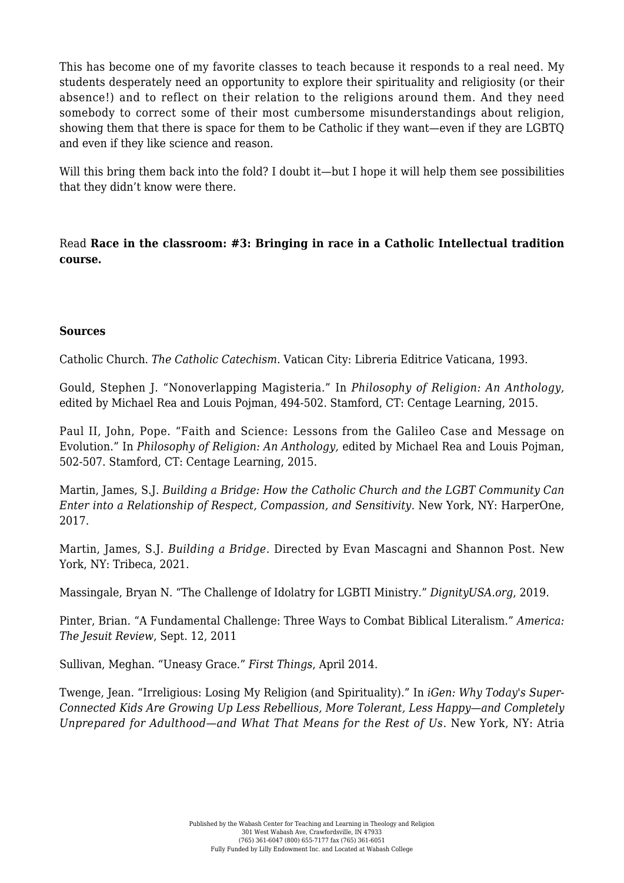This has become one of my favorite classes to teach because it responds to a real need. My students desperately need an opportunity to explore their spirituality and religiosity (or their absence!) and to reflect on their relation to the religions around them. And they need somebody to correct some of their most cumbersome misunderstandings about religion, showing them that there is space for them to be Catholic if they want—even if they are LGBTQ and even if they like science and reason.

Will this bring them back into the fold? I doubt it—but I hope it will help them see possibilities that they didn't know were there.

Read **[Race in the classroom: #3: Bringing in race in a Catholic Intellectual tradition](https://www.wabashcenter.wabash.edu/2022/01/race-in-the-classroom-3-bringing-in-race-in-a-catholic-intellectual-tradition-course/) [course.](https://www.wabashcenter.wabash.edu/2022/01/race-in-the-classroom-3-bringing-in-race-in-a-catholic-intellectual-tradition-course/)**

## **Sources**

Catholic Church. *[The Catholic Catechism](https://www.vatican.va/archive/ENG0015/_INDEX.HTM)*. Vatican City: Libreria Editrice Vaticana, 1993.

Gould, Stephen J. "Nonoverlapping Magisteria." In *Philosophy of Religion: An Anthology,* edited by Michael Rea and Louis Pojman, 494-502. Stamford, CT: Centage Learning, 2015.

Paul II, John, Pope. "Faith and Science: Lessons from the Galileo Case and Message on Evolution." In *Philosophy of Religion: An Anthology,* edited by Michael Rea and Louis Pojman, 502-507. Stamford, CT: Centage Learning, 2015.

Martin, James, S.J. *Building a Bridge: How the Catholic Church and the LGBT Community Can Enter into a Relationship of Respect, Compassion, and Sensitivity*. New York, NY: HarperOne, 2017.

Martin, James, S.J. *[Building a Bridge](https://tribecafilm.com/films/building-a-bridge-2021).* Directed by Evan Mascagni and Shannon Post. New York, NY: Tribeca, 2021.

Massingale, Bryan N. "[The Challenge of Idolatry for LGBTI Ministry](https://www.dignityusa.org/news/challenge-idolatry-lgbti-ministry)." *DignityUSA.org*, 2019.

Pinter, Brian. ["A Fundamental Challenge: Three Ways to Combat Biblical Literalism."](https://www.americamagazine.org/issue/786/article/fundamental-challenge) *America: The Jesuit Review*, Sept. 12, 2011

Sullivan, Meghan. "[Uneasy Grace](https://www.firstthings.com/article/2014/04/uneasy-grace)." *First Things*, April 2014.

Twenge, Jean. "Irreligious: Losing My Religion (and Spirituality)." In *iGen: Why Today's Super-Connected Kids Are Growing Up Less Rebellious, More Tolerant, Less Happy*—*and Completely Unprepared for Adulthood*—*and What That Means for the Rest of Us*. New York, NY: Atria